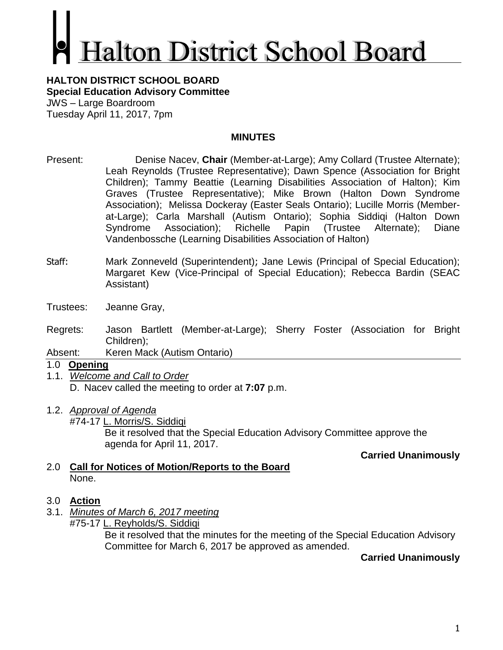# **alton District School Board**

#### **HALTON DISTRICT SCHOOL BOARD Special Education Advisory Committee** JWS – Large Boardroom Tuesday April 11, 2017, 7pm

### **MINUTES**

- Present: Denise Nacev, **Chair** (Member-at-Large); Amy Collard (Trustee Alternate); Leah Reynolds (Trustee Representative); Dawn Spence (Association for Bright Children); Tammy Beattie (Learning Disabilities Association of Halton); Kim Graves (Trustee Representative); Mike Brown (Halton Down Syndrome Association); Melissa Dockeray (Easter Seals Ontario); Lucille Morris (Memberat-Large); Carla Marshall (Autism Ontario); Sophia Siddiqi (Halton Down Syndrome Association); Richelle Papin (Trustee Alternate); Diane Vandenbossche (Learning Disabilities Association of Halton)
- Staff: Mark Zonneveld (Superintendent); Jane Lewis (Principal of Special Education); Margaret Kew (Vice-Principal of Special Education); Rebecca Bardin (SEAC Assistant)
- Trustees: Jeanne Gray,
- Regrets: Jason Bartlett (Member-at-Large); Sherry Foster (Association for Bright Children);
- Absent: Keren Mack (Autism Ontario)
- 1.0 **Opening**
- 1.1. *Welcome and Call to Order* D. Nacev called the meeting to order at **7:07** p.m.
- 1.2. *Approval of Agenda*
	- #74-17 L. Morris/S. Siddiqi Be it resolved that the Special Education Advisory Committee approve the agenda for April 11, 2017.

**Carried Unanimously**

2.0 **Call for Notices of Motion/Reports to the Board** None.

## 3.0 **Action**

- 3.1. *Minutes of March 6, 2017 meeting*
	- #75-17 L. Reyholds/S. Siddigi Be it resolved that the minutes for the meeting of the Special Education Advisory Committee for March 6, 2017 be approved as amended.

## **Carried Unanimously**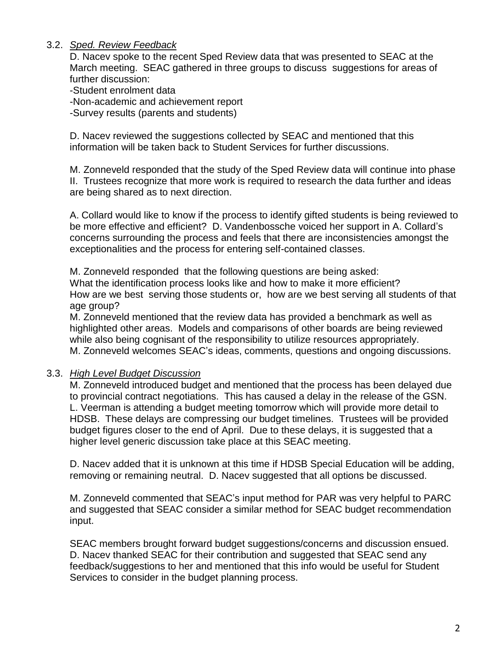### 3.2. *Sped. Review Feedback*

D. Nacev spoke to the recent Sped Review data that was presented to SEAC at the March meeting. SEAC gathered in three groups to discuss suggestions for areas of further discussion:

-Student enrolment data

-Non-academic and achievement report

-Survey results (parents and students)

D. Nacev reviewed the suggestions collected by SEAC and mentioned that this information will be taken back to Student Services for further discussions.

M. Zonneveld responded that the study of the Sped Review data will continue into phase II. Trustees recognize that more work is required to research the data further and ideas are being shared as to next direction.

A. Collard would like to know if the process to identify gifted students is being reviewed to be more effective and efficient? D. Vandenbossche voiced her support in A. Collard's concerns surrounding the process and feels that there are inconsistencies amongst the exceptionalities and the process for entering self-contained classes.

M. Zonneveld responded that the following questions are being asked: What the identification process looks like and how to make it more efficient? How are we best serving those students or, how are we best serving all students of that age group?

M. Zonneveld mentioned that the review data has provided a benchmark as well as highlighted other areas. Models and comparisons of other boards are being reviewed while also being cognisant of the responsibility to utilize resources appropriately. M. Zonneveld welcomes SEAC's ideas, comments, questions and ongoing discussions.

#### 3.3. *High Level Budget Discussion*

M. Zonneveld introduced budget and mentioned that the process has been delayed due to provincial contract negotiations. This has caused a delay in the release of the GSN. L. Veerman is attending a budget meeting tomorrow which will provide more detail to HDSB. These delays are compressing our budget timelines. Trustees will be provided budget figures closer to the end of April. Due to these delays, it is suggested that a higher level generic discussion take place at this SEAC meeting.

D. Nacev added that it is unknown at this time if HDSB Special Education will be adding, removing or remaining neutral. D. Nacev suggested that all options be discussed.

M. Zonneveld commented that SEAC's input method for PAR was very helpful to PARC and suggested that SEAC consider a similar method for SEAC budget recommendation input.

SEAC members brought forward budget suggestions/concerns and discussion ensued. D. Nacev thanked SEAC for their contribution and suggested that SEAC send any feedback/suggestions to her and mentioned that this info would be useful for Student Services to consider in the budget planning process.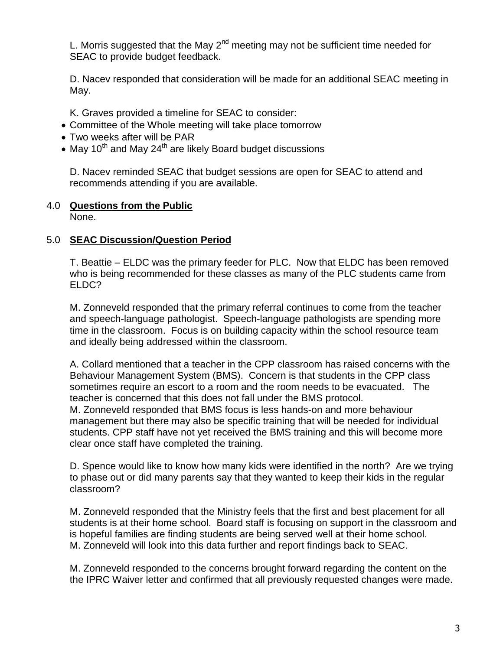L. Morris suggested that the May  $2<sup>nd</sup>$  meeting may not be sufficient time needed for SEAC to provide budget feedback.

D. Nacev responded that consideration will be made for an additional SEAC meeting in May.

K. Graves provided a timeline for SEAC to consider:

- Committee of the Whole meeting will take place tomorrow
- Two weeks after will be PAR
- May 10<sup>th</sup> and May 24<sup>th</sup> are likely Board budget discussions

D. Nacev reminded SEAC that budget sessions are open for SEAC to attend and recommends attending if you are available.

## 4.0 **Questions from the Public**

None.

## 5.0 **SEAC Discussion/Question Period**

T. Beattie – ELDC was the primary feeder for PLC. Now that ELDC has been removed who is being recommended for these classes as many of the PLC students came from ELDC?

M. Zonneveld responded that the primary referral continues to come from the teacher and speech-language pathologist. Speech-language pathologists are spending more time in the classroom. Focus is on building capacity within the school resource team and ideally being addressed within the classroom.

A. Collard mentioned that a teacher in the CPP classroom has raised concerns with the Behaviour Management System (BMS). Concern is that students in the CPP class sometimes require an escort to a room and the room needs to be evacuated. The teacher is concerned that this does not fall under the BMS protocol.

M. Zonneveld responded that BMS focus is less hands-on and more behaviour management but there may also be specific training that will be needed for individual students. CPP staff have not yet received the BMS training and this will become more clear once staff have completed the training.

D. Spence would like to know how many kids were identified in the north? Are we trying to phase out or did many parents say that they wanted to keep their kids in the regular classroom?

M. Zonneveld responded that the Ministry feels that the first and best placement for all students is at their home school. Board staff is focusing on support in the classroom and is hopeful families are finding students are being served well at their home school. M. Zonneveld will look into this data further and report findings back to SEAC.

M. Zonneveld responded to the concerns brought forward regarding the content on the the IPRC Waiver letter and confirmed that all previously requested changes were made.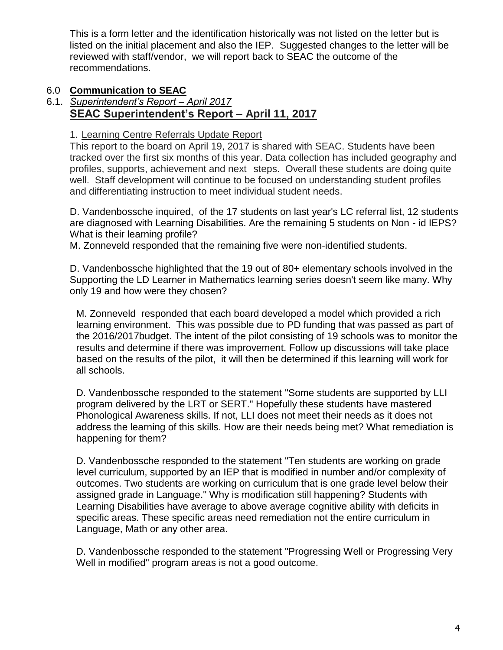This is a form letter and the identification historically was not listed on the letter but is listed on the initial placement and also the IEP. Suggested changes to the letter will be reviewed with staff/vendor, we will report back to SEAC the outcome of the recommendations.

# 6.0 **Communication to SEAC**

#### 6.1. *Superintendent's Report – April 2017* **SEAC Superintendent's Report – April 11, 2017**

1. Learning Centre Referrals Update Report

This report to the board on April 19, 2017 is shared with SEAC. Students have been tracked over the first six months of this year. Data collection has included geography and profiles, supports, achievement and next steps. Overall these students are doing quite well. Staff development will continue to be focused on understanding student profiles and differentiating instruction to meet individual student needs.

D. Vandenbossche inquired, of the 17 students on last year's LC referral list, 12 students are diagnosed with Learning Disabilities. Are the remaining 5 students on Non - id IEPS? What is their learning profile?

M. Zonneveld responded that the remaining five were non-identified students.

D. Vandenbossche highlighted that the 19 out of 80+ elementary schools involved in the Supporting the LD Learner in Mathematics learning series doesn't seem like many. Why only 19 and how were they chosen?

M. Zonneveld responded that each board developed a model which provided a rich learning environment. This was possible due to PD funding that was passed as part of the 2016/2017budget. The intent of the pilot consisting of 19 schools was to monitor the results and determine if there was improvement. Follow up discussions will take place based on the results of the pilot, it will then be determined if this learning will work for all schools.

D. Vandenbossche responded to the statement "Some students are supported by LLI program delivered by the LRT or SERT." Hopefully these students have mastered Phonological Awareness skills. If not, LLI does not meet their needs as it does not address the learning of this skills. How are their needs being met? What remediation is happening for them?

D. Vandenbossche responded to the statement "Ten students are working on grade level curriculum, supported by an IEP that is modified in number and/or complexity of outcomes. Two students are working on curriculum that is one grade level below their assigned grade in Language." Why is modification still happening? Students with Learning Disabilities have average to above average cognitive ability with deficits in specific areas. These specific areas need remediation not the entire curriculum in Language, Math or any other area.

D. Vandenbossche responded to the statement "Progressing Well or Progressing Very Well in modified" program areas is not a good outcome.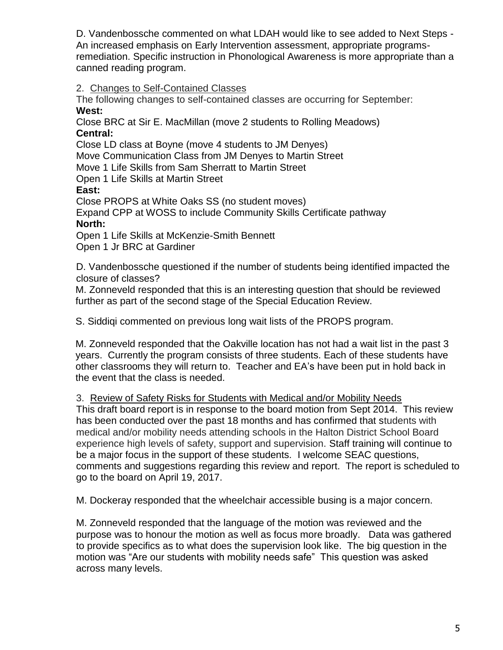D. Vandenbossche commented on what LDAH would like to see added to Next Steps - An increased emphasis on Early Intervention assessment, appropriate programsremediation. Specific instruction in Phonological Awareness is more appropriate than a canned reading program.

## 2. Changes to Self-Contained Classes

The following changes to self-contained classes are occurring for September: **West:**

Close BRC at Sir E. MacMillan (move 2 students to Rolling Meadows) **Central:**

Close LD class at Boyne (move 4 students to JM Denyes) Move Communication Class from JM Denyes to Martin Street Move 1 Life Skills from Sam Sherratt to Martin Street Open 1 Life Skills at Martin Street **East:**

Close PROPS at White Oaks SS (no student moves) Expand CPP at WOSS to include Community Skills Certificate pathway **North:**

Open 1 Life Skills at McKenzie-Smith Bennett Open 1 Jr BRC at Gardiner

D. Vandenbossche questioned if the number of students being identified impacted the closure of classes?

M. Zonneveld responded that this is an interesting question that should be reviewed further as part of the second stage of the Special Education Review.

S. Siddiqi commented on previous long wait lists of the PROPS program.

M. Zonneveld responded that the Oakville location has not had a wait list in the past 3 years. Currently the program consists of three students. Each of these students have other classrooms they will return to. Teacher and EA's have been put in hold back in the event that the class is needed.

## 3. Review of Safety Risks for Students with Medical and/or Mobility Needs

This draft board report is in response to the board motion from Sept 2014. This review has been conducted over the past 18 months and has confirmed that students with medical and/or mobility needs attending schools in the Halton District School Board experience high levels of safety, support and supervision. Staff training will continue to be a major focus in the support of these students. I welcome SEAC questions, comments and suggestions regarding this review and report. The report is scheduled to go to the board on April 19, 2017.

M. Dockeray responded that the wheelchair accessible busing is a major concern.

M. Zonneveld responded that the language of the motion was reviewed and the purpose was to honour the motion as well as focus more broadly. Data was gathered to provide specifics as to what does the supervision look like. The big question in the motion was "Are our students with mobility needs safe" This question was asked across many levels.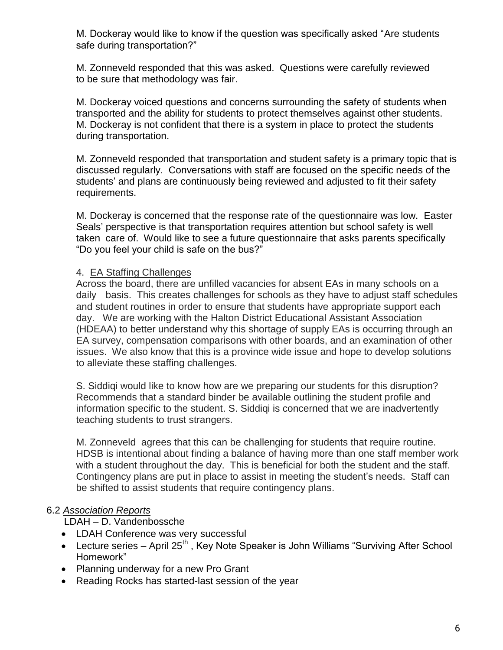M. Dockeray would like to know if the question was specifically asked "Are students safe during transportation?"

M. Zonneveld responded that this was asked. Questions were carefully reviewed to be sure that methodology was fair.

M. Dockeray voiced questions and concerns surrounding the safety of students when transported and the ability for students to protect themselves against other students. M. Dockeray is not confident that there is a system in place to protect the students during transportation.

M. Zonneveld responded that transportation and student safety is a primary topic that is discussed regularly. Conversations with staff are focused on the specific needs of the students' and plans are continuously being reviewed and adjusted to fit their safety requirements.

M. Dockeray is concerned that the response rate of the questionnaire was low. Easter Seals' perspective is that transportation requires attention but school safety is well taken care of. Would like to see a future questionnaire that asks parents specifically "Do you feel your child is safe on the bus?"

### 4. EA Staffing Challenges

Across the board, there are unfilled vacancies for absent EAs in many schools on a daily basis. This creates challenges for schools as they have to adjust staff schedules and student routines in order to ensure that students have appropriate support each day. We are working with the Halton District Educational Assistant Association (HDEAA) to better understand why this shortage of supply EAs is occurring through an EA survey, compensation comparisons with other boards, and an examination of other issues. We also know that this is a province wide issue and hope to develop solutions to alleviate these staffing challenges.

S. Siddiqi would like to know how are we preparing our students for this disruption? Recommends that a standard binder be available outlining the student profile and information specific to the student. S. Siddiqi is concerned that we are inadvertently teaching students to trust strangers.

M. Zonneveld agrees that this can be challenging for students that require routine. HDSB is intentional about finding a balance of having more than one staff member work with a student throughout the day. This is beneficial for both the student and the staff. Contingency plans are put in place to assist in meeting the student's needs. Staff can be shifted to assist students that require contingency plans.

## 6.2 *Association Reports*

LDAH – D. Vandenbossche

- LDAH Conference was very successful
- Lecture series April 25<sup>th</sup>, Key Note Speaker is John Williams "Surviving After School Homework"
- Planning underway for a new Pro Grant
- Reading Rocks has started-last session of the year